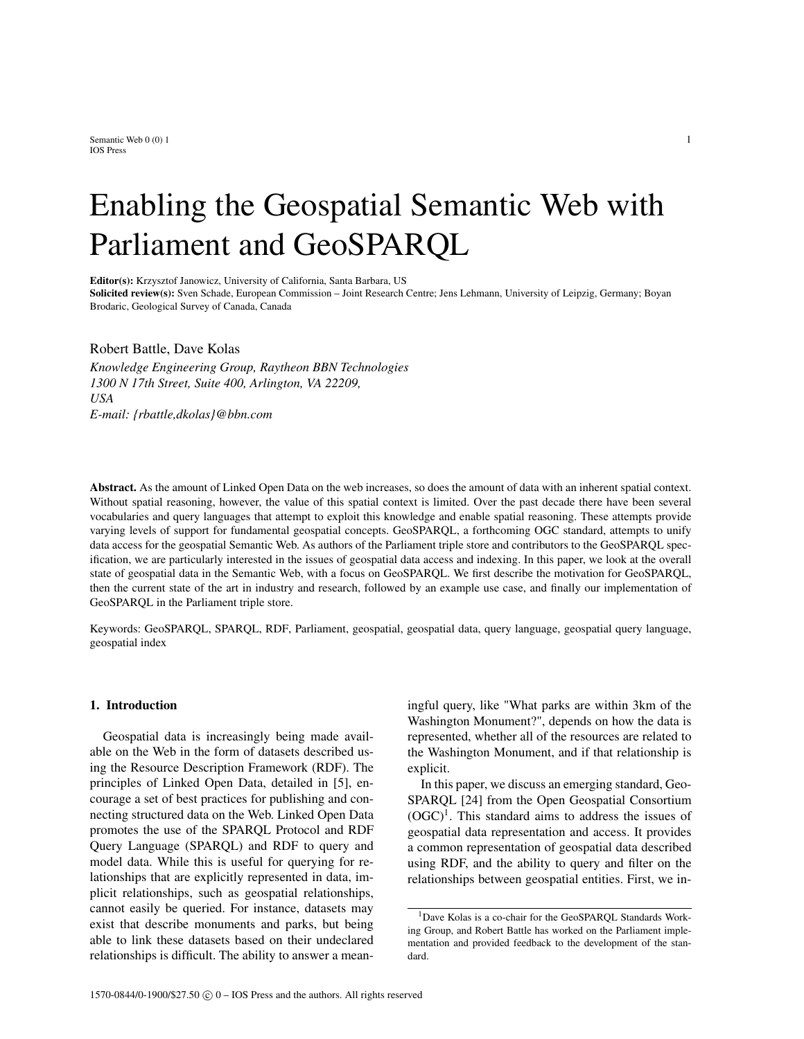Semantic Web  $0(0)$  1 1 IOS Press

# Enabling the Geospatial Semantic Web with Parliament and GeoSPARQL

Editor(s): Krzysztof Janowicz, University of California, Santa Barbara, US Solicited review(s): Sven Schade, European Commission – Joint Research Centre; Jens Lehmann, University of Leipzig, Germany; Boyan Brodaric, Geological Survey of Canada, Canada

Robert Battle, Dave Kolas

*Knowledge Engineering Group, Raytheon BBN Technologies 1300 N 17th Street, Suite 400, Arlington, VA 22209, USA E-mail: {rbattle,dkolas}@bbn.com*

Abstract. As the amount of Linked Open Data on the web increases, so does the amount of data with an inherent spatial context. Without spatial reasoning, however, the value of this spatial context is limited. Over the past decade there have been several vocabularies and query languages that attempt to exploit this knowledge and enable spatial reasoning. These attempts provide varying levels of support for fundamental geospatial concepts. GeoSPARQL, a forthcoming OGC standard, attempts to unify data access for the geospatial Semantic Web. As authors of the Parliament triple store and contributors to the GeoSPARQL specification, we are particularly interested in the issues of geospatial data access and indexing. In this paper, we look at the overall state of geospatial data in the Semantic Web, with a focus on GeoSPARQL. We first describe the motivation for GeoSPARQL, then the current state of the art in industry and research, followed by an example use case, and finally our implementation of GeoSPARQL in the Parliament triple store.

Keywords: GeoSPARQL, SPARQL, RDF, Parliament, geospatial, geospatial data, query language, geospatial query language, geospatial index

## 1. Introduction

Geospatial data is increasingly being made available on the Web in the form of datasets described using the Resource Description Framework (RDF). The principles of Linked Open Data, detailed in [5], encourage a set of best practices for publishing and connecting structured data on the Web. Linked Open Data promotes the use of the SPARQL Protocol and RDF Query Language (SPARQL) and RDF to query and model data. While this is useful for querying for relationships that are explicitly represented in data, implicit relationships, such as geospatial relationships, cannot easily be queried. For instance, datasets may exist that describe monuments and parks, but being able to link these datasets based on their undeclared relationships is difficult. The ability to answer a meaningful query, like "What parks are within 3km of the Washington Monument?", depends on how the data is represented, whether all of the resources are related to the Washington Monument, and if that relationship is explicit.

In this paper, we discuss an emerging standard, Geo-SPARQL [24] from the Open Geospatial Consortium  $(OGC)^1$ . This standard aims to address the issues of geospatial data representation and access. It provides a common representation of geospatial data described using RDF, and the ability to query and filter on the relationships between geospatial entities. First, we in-

<sup>1</sup>Dave Kolas is a co-chair for the GeoSPARQL Standards Working Group, and Robert Battle has worked on the Parliament implementation and provided feedback to the development of the standard.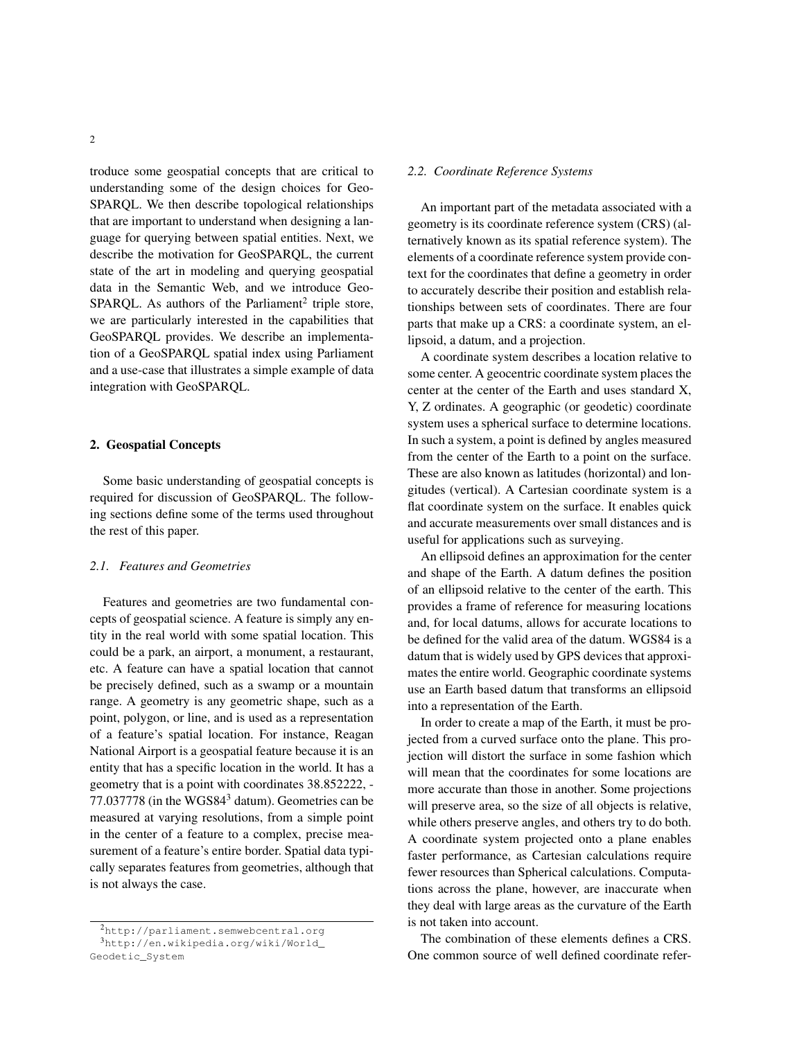troduce some geospatial concepts that are critical to understanding some of the design choices for Geo-SPARQL. We then describe topological relationships that are important to understand when designing a language for querying between spatial entities. Next, we describe the motivation for GeoSPARQL, the current state of the art in modeling and querying geospatial data in the Semantic Web, and we introduce Geo- $SPARCL$ . As authors of the Parliament<sup>2</sup> triple store, we are particularly interested in the capabilities that GeoSPARQL provides. We describe an implementation of a GeoSPARQL spatial index using Parliament and a use-case that illustrates a simple example of data integration with GeoSPARQL.

## 2. Geospatial Concepts

Some basic understanding of geospatial concepts is required for discussion of GeoSPARQL. The following sections define some of the terms used throughout the rest of this paper.

## *2.1. Features and Geometries*

Features and geometries are two fundamental concepts of geospatial science. A feature is simply any entity in the real world with some spatial location. This could be a park, an airport, a monument, a restaurant, etc. A feature can have a spatial location that cannot be precisely defined, such as a swamp or a mountain range. A geometry is any geometric shape, such as a point, polygon, or line, and is used as a representation of a feature's spatial location. For instance, Reagan National Airport is a geospatial feature because it is an entity that has a specific location in the world. It has a geometry that is a point with coordinates 38.852222, - 77.037778 (in the WGS84<sup>3</sup> datum). Geometries can be measured at varying resolutions, from a simple point in the center of a feature to a complex, precise measurement of a feature's entire border. Spatial data typically separates features from geometries, although that is not always the case.

#### *2.2. Coordinate Reference Systems*

An important part of the metadata associated with a geometry is its coordinate reference system (CRS) (alternatively known as its spatial reference system). The elements of a coordinate reference system provide context for the coordinates that define a geometry in order to accurately describe their position and establish relationships between sets of coordinates. There are four parts that make up a CRS: a coordinate system, an ellipsoid, a datum, and a projection.

A coordinate system describes a location relative to some center. A geocentric coordinate system places the center at the center of the Earth and uses standard X, Y, Z ordinates. A geographic (or geodetic) coordinate system uses a spherical surface to determine locations. In such a system, a point is defined by angles measured from the center of the Earth to a point on the surface. These are also known as latitudes (horizontal) and longitudes (vertical). A Cartesian coordinate system is a flat coordinate system on the surface. It enables quick and accurate measurements over small distances and is useful for applications such as surveying.

An ellipsoid defines an approximation for the center and shape of the Earth. A datum defines the position of an ellipsoid relative to the center of the earth. This provides a frame of reference for measuring locations and, for local datums, allows for accurate locations to be defined for the valid area of the datum. WGS84 is a datum that is widely used by GPS devices that approximates the entire world. Geographic coordinate systems use an Earth based datum that transforms an ellipsoid into a representation of the Earth.

In order to create a map of the Earth, it must be projected from a curved surface onto the plane. This projection will distort the surface in some fashion which will mean that the coordinates for some locations are more accurate than those in another. Some projections will preserve area, so the size of all objects is relative, while others preserve angles, and others try to do both. A coordinate system projected onto a plane enables faster performance, as Cartesian calculations require fewer resources than Spherical calculations. Computations across the plane, however, are inaccurate when they deal with large areas as the curvature of the Earth is not taken into account.

The combination of these elements defines a CRS. One common source of well defined coordinate refer-

<sup>2</sup>http://parliament.semwebcentral.org <sup>3</sup>http://en.wikipedia.org/wiki/World\_ Geodetic\_System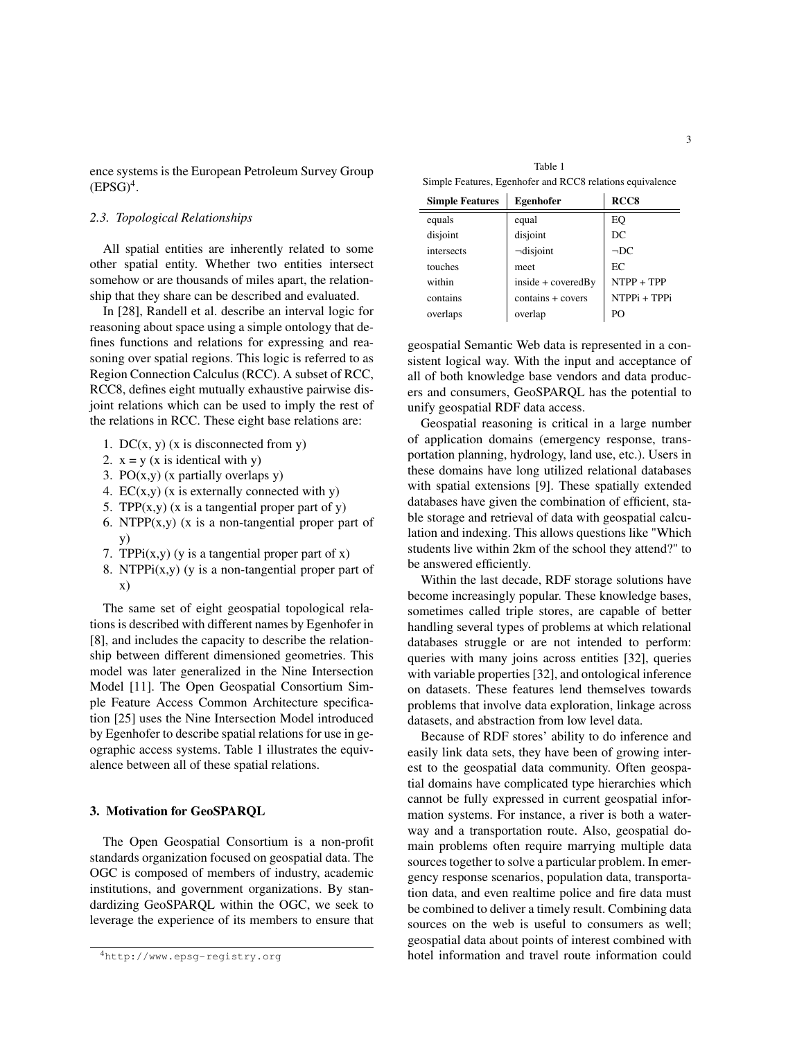ence systems is the European Petroleum Survey Group  $(EPSG)^4$ .

## *2.3. Topological Relationships*

All spatial entities are inherently related to some other spatial entity. Whether two entities intersect somehow or are thousands of miles apart, the relationship that they share can be described and evaluated.

In [28], Randell et al. describe an interval logic for reasoning about space using a simple ontology that defines functions and relations for expressing and reasoning over spatial regions. This logic is referred to as Region Connection Calculus (RCC). A subset of RCC, RCC8, defines eight mutually exhaustive pairwise disjoint relations which can be used to imply the rest of the relations in RCC. These eight base relations are:

- 1. DC $(x, y)$   $(x$  is disconnected from y)
- 2.  $x = y$  (x is identical with y)
- 3. PO $(x, y)$   $(x \text{ partially overlaps } y)$
- 4.  $EC(x,y)$  (x is externally connected with y)
- 5. TPP $(x,y)$  (x is a tangential proper part of y)
- 6. NTPP $(x,y)$  (x is a non-tangential proper part of y)
- 7. TPPi $(x,y)$  (y is a tangential proper part of x)
- 8. NTPPi $(x,y)$  (y is a non-tangential proper part of x)

The same set of eight geospatial topological relations is described with different names by Egenhofer in [8], and includes the capacity to describe the relationship between different dimensioned geometries. This model was later generalized in the Nine Intersection Model [11]. The Open Geospatial Consortium Simple Feature Access Common Architecture specification [25] uses the Nine Intersection Model introduced by Egenhofer to describe spatial relations for use in geographic access systems. Table 1 illustrates the equivalence between all of these spatial relations.

## 3. Motivation for GeoSPARQL

The Open Geospatial Consortium is a non-profit standards organization focused on geospatial data. The OGC is composed of members of industry, academic institutions, and government organizations. By standardizing GeoSPARQL within the OGC, we seek to leverage the experience of its members to ensure that

Table 1 Simple Features, Egenhofer and RCC8 relations equivalence

| <b>Simple Features</b> | Egenhofer          | RCC <sub>8</sub> |
|------------------------|--------------------|------------------|
| equals                 | equal              | EQ               |
| disjoint               | disjoint           | DC               |
| intersects             | $\neg$ disjoint    | $\neg DC$        |
| touches                | meet               | EC               |
| within                 | inside + coveredBy | NTPP + TPP       |
| contains               | contains + covers  | NTPPi + TPPi     |
| overlaps               | overlap            | PΟ               |

geospatial Semantic Web data is represented in a consistent logical way. With the input and acceptance of all of both knowledge base vendors and data producers and consumers, GeoSPARQL has the potential to unify geospatial RDF data access.

Geospatial reasoning is critical in a large number of application domains (emergency response, transportation planning, hydrology, land use, etc.). Users in these domains have long utilized relational databases with spatial extensions [9]. These spatially extended databases have given the combination of efficient, stable storage and retrieval of data with geospatial calculation and indexing. This allows questions like "Which students live within 2km of the school they attend?" to be answered efficiently.

Within the last decade, RDF storage solutions have become increasingly popular. These knowledge bases, sometimes called triple stores, are capable of better handling several types of problems at which relational databases struggle or are not intended to perform: queries with many joins across entities [32], queries with variable properties [32], and ontological inference on datasets. These features lend themselves towards problems that involve data exploration, linkage across datasets, and abstraction from low level data.

Because of RDF stores' ability to do inference and easily link data sets, they have been of growing interest to the geospatial data community. Often geospatial domains have complicated type hierarchies which cannot be fully expressed in current geospatial information systems. For instance, a river is both a waterway and a transportation route. Also, geospatial domain problems often require marrying multiple data sources together to solve a particular problem. In emergency response scenarios, population data, transportation data, and even realtime police and fire data must be combined to deliver a timely result. Combining data sources on the web is useful to consumers as well; geospatial data about points of interest combined with hotel information and travel route information could

<sup>4</sup>http://www.epsg-registry.org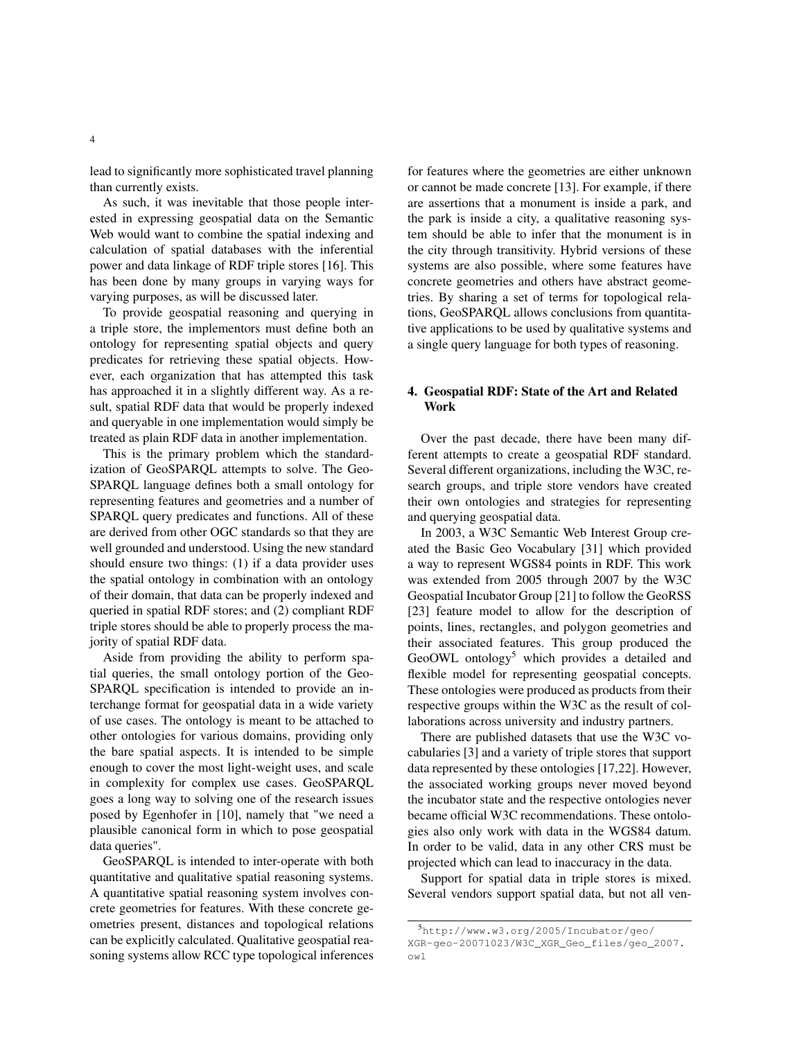lead to significantly more sophisticated travel planning than currently exists.

As such, it was inevitable that those people interested in expressing geospatial data on the Semantic Web would want to combine the spatial indexing and calculation of spatial databases with the inferential power and data linkage of RDF triple stores [16]. This has been done by many groups in varying ways for varying purposes, as will be discussed later.

To provide geospatial reasoning and querying in a triple store, the implementors must define both an ontology for representing spatial objects and query predicates for retrieving these spatial objects. However, each organization that has attempted this task has approached it in a slightly different way. As a result, spatial RDF data that would be properly indexed and queryable in one implementation would simply be treated as plain RDF data in another implementation.

This is the primary problem which the standardization of GeoSPARQL attempts to solve. The Geo-SPARQL language defines both a small ontology for representing features and geometries and a number of SPARQL query predicates and functions. All of these are derived from other OGC standards so that they are well grounded and understood. Using the new standard should ensure two things: (1) if a data provider uses the spatial ontology in combination with an ontology of their domain, that data can be properly indexed and queried in spatial RDF stores; and (2) compliant RDF triple stores should be able to properly process the majority of spatial RDF data.

Aside from providing the ability to perform spatial queries, the small ontology portion of the Geo-SPARQL specification is intended to provide an interchange format for geospatial data in a wide variety of use cases. The ontology is meant to be attached to other ontologies for various domains, providing only the bare spatial aspects. It is intended to be simple enough to cover the most light-weight uses, and scale in complexity for complex use cases. GeoSPARQL goes a long way to solving one of the research issues posed by Egenhofer in [10], namely that "we need a plausible canonical form in which to pose geospatial data queries".

GeoSPARQL is intended to inter-operate with both quantitative and qualitative spatial reasoning systems. A quantitative spatial reasoning system involves concrete geometries for features. With these concrete geometries present, distances and topological relations can be explicitly calculated. Qualitative geospatial reasoning systems allow RCC type topological inferences for features where the geometries are either unknown or cannot be made concrete [13]. For example, if there are assertions that a monument is inside a park, and the park is inside a city, a qualitative reasoning system should be able to infer that the monument is in the city through transitivity. Hybrid versions of these systems are also possible, where some features have concrete geometries and others have abstract geometries. By sharing a set of terms for topological relations, GeoSPARQL allows conclusions from quantitative applications to be used by qualitative systems and a single query language for both types of reasoning.

## 4. Geospatial RDF: State of the Art and Related Work

Over the past decade, there have been many different attempts to create a geospatial RDF standard. Several different organizations, including the W3C, research groups, and triple store vendors have created their own ontologies and strategies for representing and querying geospatial data.

In 2003, a W3C Semantic Web Interest Group created the Basic Geo Vocabulary [31] which provided a way to represent WGS84 points in RDF. This work was extended from 2005 through 2007 by the W3C Geospatial Incubator Group [21] to follow the GeoRSS [23] feature model to allow for the description of points, lines, rectangles, and polygon geometries and their associated features. This group produced the GeoOWL ontology<sup>5</sup> which provides a detailed and flexible model for representing geospatial concepts. These ontologies were produced as products from their respective groups within the W3C as the result of collaborations across university and industry partners.

There are published datasets that use the W3C vocabularies [3] and a variety of triple stores that support data represented by these ontologies [17,22]. However, the associated working groups never moved beyond the incubator state and the respective ontologies never became official W3C recommendations. These ontologies also only work with data in the WGS84 datum. In order to be valid, data in any other CRS must be projected which can lead to inaccuracy in the data.

Support for spatial data in triple stores is mixed. Several vendors support spatial data, but not all ven-

<sup>5</sup>http://www.w3.org/2005/Incubator/geo/ XGR-geo-20071023/W3C\_XGR\_Geo\_files/geo\_2007. owl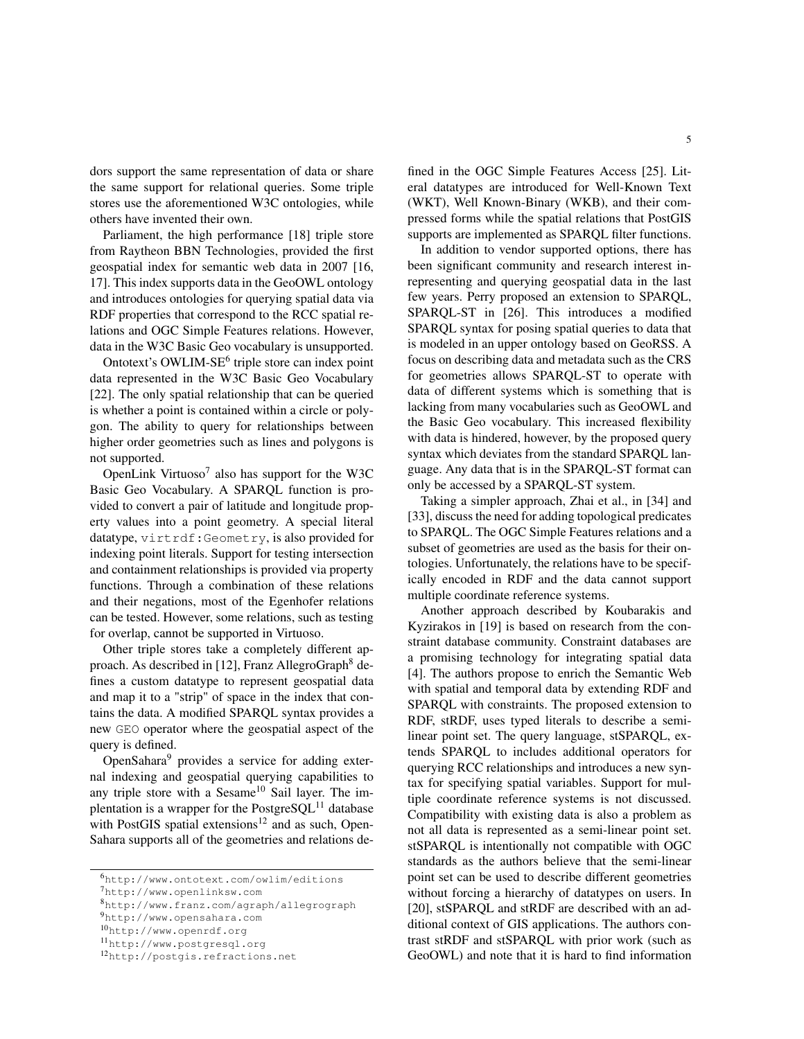dors support the same representation of data or share the same support for relational queries. Some triple stores use the aforementioned W3C ontologies, while others have invented their own.

Parliament, the high performance [18] triple store from Raytheon BBN Technologies, provided the first geospatial index for semantic web data in 2007 [16, 17]. This index supports data in the GeoOWL ontology and introduces ontologies for querying spatial data via RDF properties that correspond to the RCC spatial relations and OGC Simple Features relations. However, data in the W3C Basic Geo vocabulary is unsupported.

Ontotext's OWLIM-SE<sup>6</sup> triple store can index point data represented in the W3C Basic Geo Vocabulary [22]. The only spatial relationship that can be queried is whether a point is contained within a circle or polygon. The ability to query for relationships between higher order geometries such as lines and polygons is not supported.

OpenLink Virtuoso<sup>7</sup> also has support for the W3C Basic Geo Vocabulary. A SPARQL function is provided to convert a pair of latitude and longitude property values into a point geometry. A special literal datatype, virtrdf:Geometry, is also provided for indexing point literals. Support for testing intersection and containment relationships is provided via property functions. Through a combination of these relations and their negations, most of the Egenhofer relations can be tested. However, some relations, such as testing for overlap, cannot be supported in Virtuoso.

Other triple stores take a completely different approach. As described in [12], Franz AllegroGraph<sup>8</sup> defines a custom datatype to represent geospatial data and map it to a "strip" of space in the index that contains the data. A modified SPARQL syntax provides a new GEO operator where the geospatial aspect of the query is defined.

OpenSahara<sup>9</sup> provides a service for adding external indexing and geospatial querying capabilities to any triple store with a Sesame $10$  Sail layer. The implentation is a wrapper for the PostgreSQL $^{11}$  database with PostGIS spatial extensions<sup>12</sup> and as such, Open-Sahara supports all of the geometries and relations defined in the OGC Simple Features Access [25]. Literal datatypes are introduced for Well-Known Text (WKT), Well Known-Binary (WKB), and their compressed forms while the spatial relations that PostGIS supports are implemented as SPARQL filter functions.

In addition to vendor supported options, there has been significant community and research interest inrepresenting and querying geospatial data in the last few years. Perry proposed an extension to SPARQL, SPARQL-ST in [26]. This introduces a modified SPARQL syntax for posing spatial queries to data that is modeled in an upper ontology based on GeoRSS. A focus on describing data and metadata such as the CRS for geometries allows SPARQL-ST to operate with data of different systems which is something that is lacking from many vocabularies such as GeoOWL and the Basic Geo vocabulary. This increased flexibility with data is hindered, however, by the proposed query syntax which deviates from the standard SPARQL language. Any data that is in the SPARQL-ST format can only be accessed by a SPARQL-ST system.

Taking a simpler approach, Zhai et al., in [34] and [33], discuss the need for adding topological predicates to SPARQL. The OGC Simple Features relations and a subset of geometries are used as the basis for their ontologies. Unfortunately, the relations have to be specifically encoded in RDF and the data cannot support multiple coordinate reference systems.

Another approach described by Koubarakis and Kyzirakos in [19] is based on research from the constraint database community. Constraint databases are a promising technology for integrating spatial data [4]. The authors propose to enrich the Semantic Web with spatial and temporal data by extending RDF and SPARQL with constraints. The proposed extension to RDF, stRDF, uses typed literals to describe a semilinear point set. The query language, stSPARQL, extends SPARQL to includes additional operators for querying RCC relationships and introduces a new syntax for specifying spatial variables. Support for multiple coordinate reference systems is not discussed. Compatibility with existing data is also a problem as not all data is represented as a semi-linear point set. stSPARQL is intentionally not compatible with OGC standards as the authors believe that the semi-linear point set can be used to describe different geometries without forcing a hierarchy of datatypes on users. In [20], stSPARQL and stRDF are described with an additional context of GIS applications. The authors contrast stRDF and stSPARQL with prior work (such as GeoOWL) and note that it is hard to find information

<sup>6</sup>http://www.ontotext.com/owlim/editions

<sup>7</sup>http://www.openlinksw.com

<sup>8</sup>http://www.franz.com/agraph/allegrograph

<sup>9</sup>http://www.opensahara.com

<sup>10</sup>http://www.openrdf.org

<sup>11</sup>http://www.postgresql.org

<sup>12</sup>http://postgis.refractions.net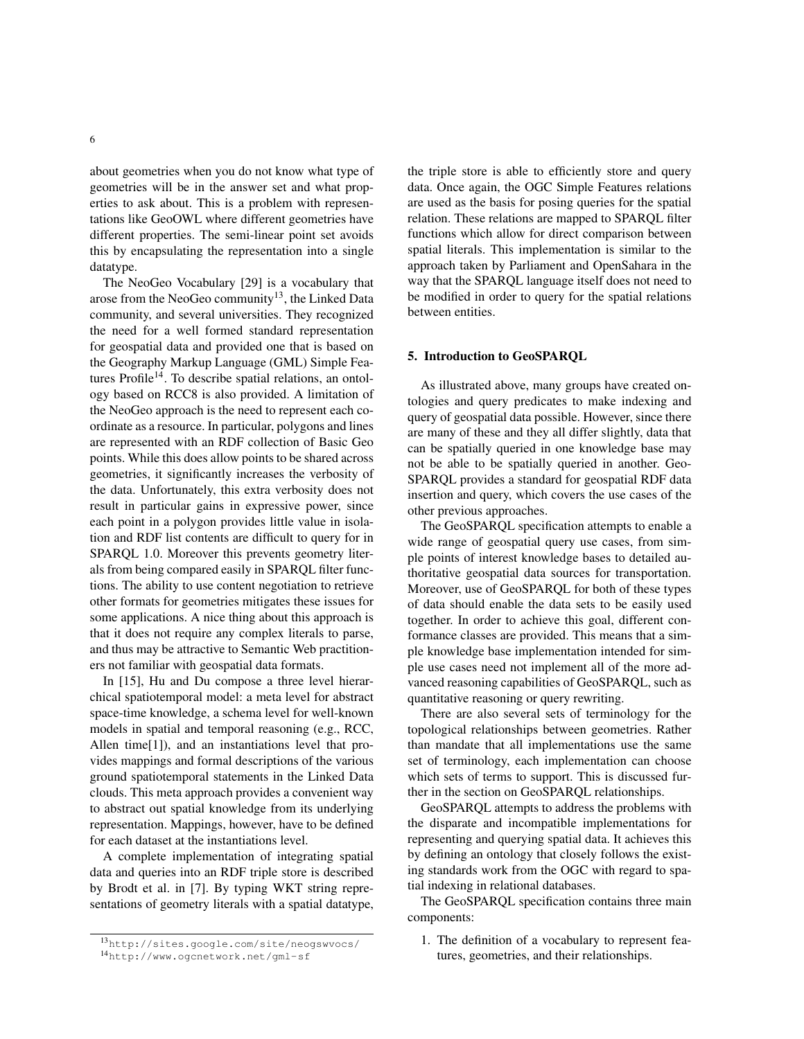about geometries when you do not know what type of geometries will be in the answer set and what properties to ask about. This is a problem with representations like GeoOWL where different geometries have different properties. The semi-linear point set avoids this by encapsulating the representation into a single datatype.

The NeoGeo Vocabulary [29] is a vocabulary that arose from the NeoGeo community<sup>13</sup>, the Linked Data community, and several universities. They recognized the need for a well formed standard representation for geospatial data and provided one that is based on the Geography Markup Language (GML) Simple Features Profile<sup>14</sup>. To describe spatial relations, an ontology based on RCC8 is also provided. A limitation of the NeoGeo approach is the need to represent each coordinate as a resource. In particular, polygons and lines are represented with an RDF collection of Basic Geo points. While this does allow points to be shared across geometries, it significantly increases the verbosity of the data. Unfortunately, this extra verbosity does not result in particular gains in expressive power, since each point in a polygon provides little value in isolation and RDF list contents are difficult to query for in SPARQL 1.0. Moreover this prevents geometry literals from being compared easily in SPARQL filter functions. The ability to use content negotiation to retrieve other formats for geometries mitigates these issues for some applications. A nice thing about this approach is that it does not require any complex literals to parse, and thus may be attractive to Semantic Web practitioners not familiar with geospatial data formats.

In [15], Hu and Du compose a three level hierarchical spatiotemporal model: a meta level for abstract space-time knowledge, a schema level for well-known models in spatial and temporal reasoning (e.g., RCC, Allen time[1]), and an instantiations level that provides mappings and formal descriptions of the various ground spatiotemporal statements in the Linked Data clouds. This meta approach provides a convenient way to abstract out spatial knowledge from its underlying representation. Mappings, however, have to be defined for each dataset at the instantiations level.

A complete implementation of integrating spatial data and queries into an RDF triple store is described by Brodt et al. in [7]. By typing WKT string representations of geometry literals with a spatial datatype, the triple store is able to efficiently store and query data. Once again, the OGC Simple Features relations are used as the basis for posing queries for the spatial relation. These relations are mapped to SPARQL filter functions which allow for direct comparison between spatial literals. This implementation is similar to the approach taken by Parliament and OpenSahara in the way that the SPARQL language itself does not need to be modified in order to query for the spatial relations between entities.

#### 5. Introduction to GeoSPARQL

As illustrated above, many groups have created ontologies and query predicates to make indexing and query of geospatial data possible. However, since there are many of these and they all differ slightly, data that can be spatially queried in one knowledge base may not be able to be spatially queried in another. Geo-SPARQL provides a standard for geospatial RDF data insertion and query, which covers the use cases of the other previous approaches.

The GeoSPARQL specification attempts to enable a wide range of geospatial query use cases, from simple points of interest knowledge bases to detailed authoritative geospatial data sources for transportation. Moreover, use of GeoSPARQL for both of these types of data should enable the data sets to be easily used together. In order to achieve this goal, different conformance classes are provided. This means that a simple knowledge base implementation intended for simple use cases need not implement all of the more advanced reasoning capabilities of GeoSPARQL, such as quantitative reasoning or query rewriting.

There are also several sets of terminology for the topological relationships between geometries. Rather than mandate that all implementations use the same set of terminology, each implementation can choose which sets of terms to support. This is discussed further in the section on GeoSPARQL relationships.

GeoSPARQL attempts to address the problems with the disparate and incompatible implementations for representing and querying spatial data. It achieves this by defining an ontology that closely follows the existing standards work from the OGC with regard to spatial indexing in relational databases.

The GeoSPARQL specification contains three main components:

1. The definition of a vocabulary to represent features, geometries, and their relationships.

<sup>13</sup>http://sites.google.com/site/neogswvocs/ <sup>14</sup>http://www.ogcnetwork.net/gml-sf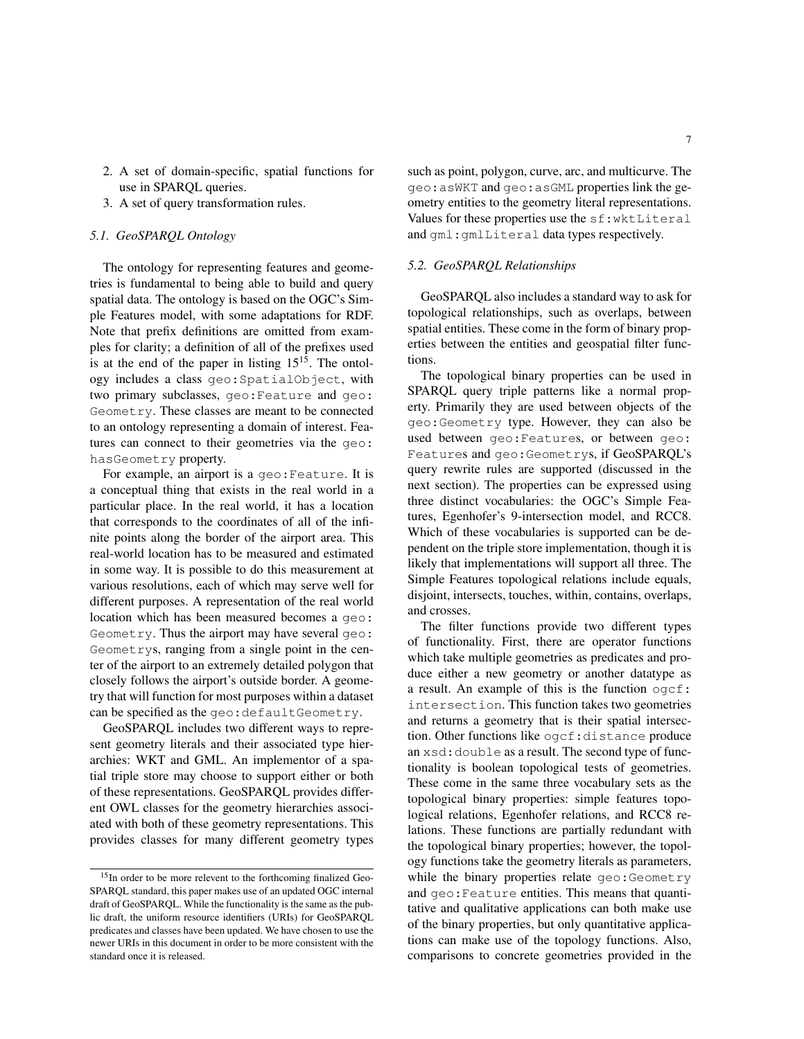- 2. A set of domain-specific, spatial functions for use in SPARQL queries.
- 3. A set of query transformation rules.

## *5.1. GeoSPARQL Ontology*

The ontology for representing features and geometries is fundamental to being able to build and query spatial data. The ontology is based on the OGC's Simple Features model, with some adaptations for RDF. Note that prefix definitions are omitted from examples for clarity; a definition of all of the prefixes used is at the end of the paper in listing  $15^{15}$ . The ontology includes a class geo:SpatialObject, with two primary subclasses, geo:Feature and geo: Geometry. These classes are meant to be connected to an ontology representing a domain of interest. Features can connect to their geometries via the geo: hasGeometry property.

For example, an airport is a geo:Feature. It is a conceptual thing that exists in the real world in a particular place. In the real world, it has a location that corresponds to the coordinates of all of the infinite points along the border of the airport area. This real-world location has to be measured and estimated in some way. It is possible to do this measurement at various resolutions, each of which may serve well for different purposes. A representation of the real world location which has been measured becomes a geo: Geometry. Thus the airport may have several geo: Geometrys, ranging from a single point in the center of the airport to an extremely detailed polygon that closely follows the airport's outside border. A geometry that will function for most purposes within a dataset can be specified as the geo: defaultGeometry.

GeoSPARQL includes two different ways to represent geometry literals and their associated type hierarchies: WKT and GML. An implementor of a spatial triple store may choose to support either or both of these representations. GeoSPARQL provides different OWL classes for the geometry hierarchies associated with both of these geometry representations. This provides classes for many different geometry types such as point, polygon, curve, arc, and multicurve. The geo:asWKT and geo:asGML properties link the geometry entities to the geometry literal representations. Values for these properties use the sf:wktLiteral and gml:gmlLiteral data types respectively.

## *5.2. GeoSPARQL Relationships*

GeoSPARQL also includes a standard way to ask for topological relationships, such as overlaps, between spatial entities. These come in the form of binary properties between the entities and geospatial filter functions.

The topological binary properties can be used in SPARQL query triple patterns like a normal property. Primarily they are used between objects of the geo:Geometry type. However, they can also be used between geo:Features, or between geo: Features and geo:Geometrys, if GeoSPARQL's query rewrite rules are supported (discussed in the next section). The properties can be expressed using three distinct vocabularies: the OGC's Simple Features, Egenhofer's 9-intersection model, and RCC8. Which of these vocabularies is supported can be dependent on the triple store implementation, though it is likely that implementations will support all three. The Simple Features topological relations include equals, disjoint, intersects, touches, within, contains, overlaps, and crosses.

The filter functions provide two different types of functionality. First, there are operator functions which take multiple geometries as predicates and produce either a new geometry or another datatype as a result. An example of this is the function ogcf: intersection. This function takes two geometries and returns a geometry that is their spatial intersection. Other functions like ogcf:distance produce an xsd:double as a result. The second type of functionality is boolean topological tests of geometries. These come in the same three vocabulary sets as the topological binary properties: simple features topological relations, Egenhofer relations, and RCC8 relations. These functions are partially redundant with the topological binary properties; however, the topology functions take the geometry literals as parameters, while the binary properties relate geo: Geometry and geo:Feature entities. This means that quantitative and qualitative applications can both make use of the binary properties, but only quantitative applications can make use of the topology functions. Also, comparisons to concrete geometries provided in the

<sup>&</sup>lt;sup>15</sup>In order to be more relevent to the forthcoming finalized Geo-SPARQL standard, this paper makes use of an updated OGC internal draft of GeoSPARQL. While the functionality is the same as the public draft, the uniform resource identifiers (URIs) for GeoSPARQL predicates and classes have been updated. We have chosen to use the newer URIs in this document in order to be more consistent with the standard once it is released.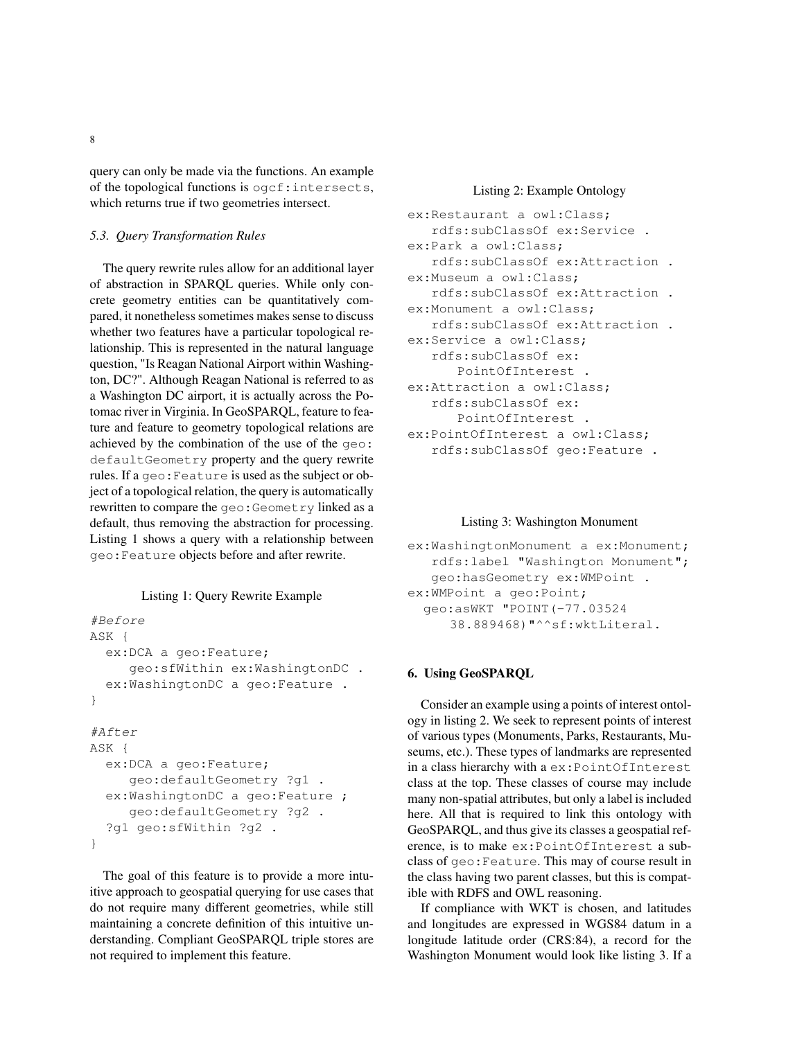query can only be made via the functions. An example of the topological functions is ogcf:intersects, which returns true if two geometries intersect.

## *5.3. Query Transformation Rules*

The query rewrite rules allow for an additional layer of abstraction in SPARQL queries. While only concrete geometry entities can be quantitatively compared, it nonetheless sometimes makes sense to discuss whether two features have a particular topological relationship. This is represented in the natural language question, "Is Reagan National Airport within Washington, DC?". Although Reagan National is referred to as a Washington DC airport, it is actually across the Potomac river in Virginia. In GeoSPARQL, feature to feature and feature to geometry topological relations are achieved by the combination of the use of the geo: defaultGeometry property and the query rewrite rules. If a geo:Feature is used as the subject or object of a topological relation, the query is automatically rewritten to compare the geo: Geometry linked as a default, thus removing the abstraction for processing. Listing 1 shows a query with a relationship between geo:Feature objects before and after rewrite.

## Listing 1: Query Rewrite Example

```
#Before
ASK {
  ex:DCA a geo:Feature;
     geo:sfWithin ex:WashingtonDC .
  ex:WashingtonDC a geo:Feature .
}
#After
ASK {
  ex:DCA a geo:Feature;
     geo:defaultGeometry ?g1 .
  ex:WashingtonDC a geo:Feature ;
     geo:defaultGeometry ?g2 .
  ?g1 geo:sfWithin ?g2 .
}
```
The goal of this feature is to provide a more intuitive approach to geospatial querying for use cases that do not require many different geometries, while still maintaining a concrete definition of this intuitive understanding. Compliant GeoSPARQL triple stores are not required to implement this feature.

## Listing 2: Example Ontology

```
ex:Restaurant a owl:Class;
   rdfs:subClassOf ex:Service .
ex:Park a owl:Class;
   rdfs:subClassOf ex:Attraction .
ex:Museum a owl:Class;
   rdfs:subClassOf ex:Attraction .
ex:Monument a owl:Class;
   rdfs:subClassOf ex:Attraction .
ex:Service a owl:Class;
   rdfs:subClassOf ex:
      PointOfInterest .
ex:Attraction a owl:Class;
   rdfs:subClassOf ex:
      PointOfInterest .
ex:PointOfInterest a owl:Class;
   rdfs:subClassOf geo:Feature .
```
#### Listing 3: Washington Monument

```
ex:WashingtonMonument a ex:Monument;
   rdfs:label "Washington Monument";
   geo:hasGeometry ex:WMPoint .
ex:WMPoint a geo:Point;
  geo:asWKT "POINT(-77.03524
     38.889468)"^^sf:wktLiteral.
```
## 6. Using GeoSPARQL

Consider an example using a points of interest ontology in listing 2. We seek to represent points of interest of various types (Monuments, Parks, Restaurants, Museums, etc.). These types of landmarks are represented in a class hierarchy with a ex:PointOfInterest class at the top. These classes of course may include many non-spatial attributes, but only a label is included here. All that is required to link this ontology with GeoSPARQL, and thus give its classes a geospatial reference, is to make ex:PointOfInterest a subclass of geo:Feature. This may of course result in the class having two parent classes, but this is compatible with RDFS and OWL reasoning.

If compliance with WKT is chosen, and latitudes and longitudes are expressed in WGS84 datum in a longitude latitude order (CRS:84), a record for the Washington Monument would look like listing 3. If a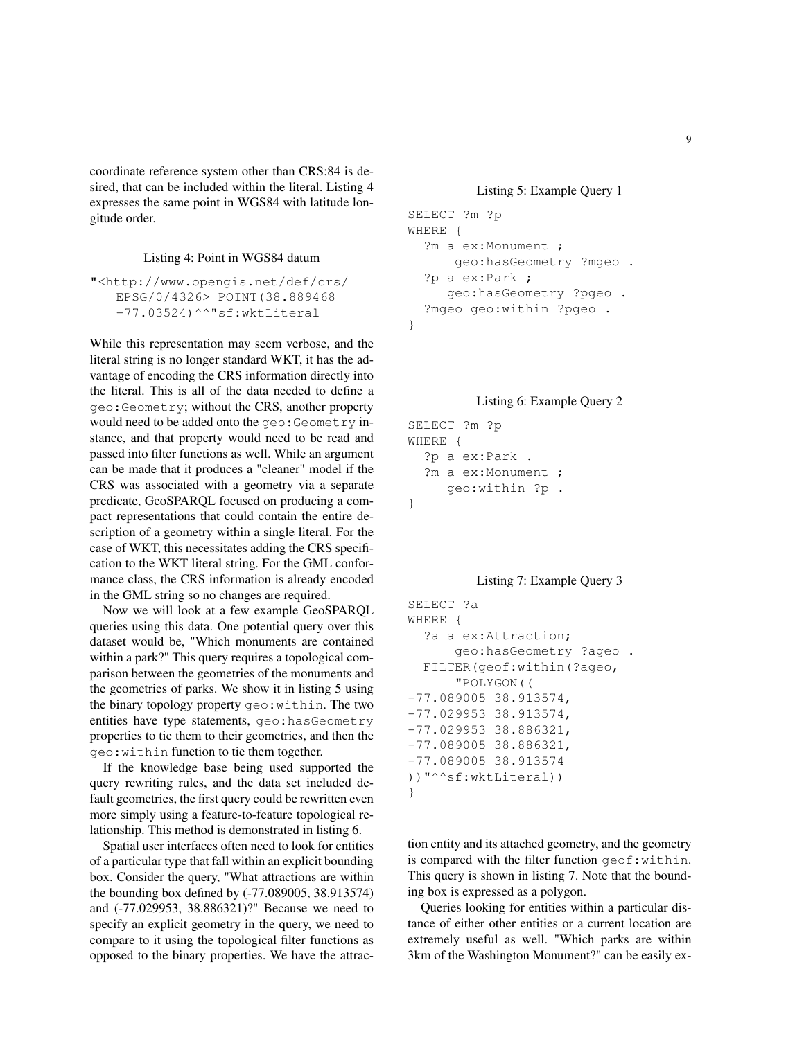coordinate reference system other than CRS:84 is desired, that can be included within the literal. Listing 4 expresses the same point in WGS84 with latitude longitude order.

## Listing 4: Point in WGS84 datum

```
"<http://www.opengis.net/def/crs/
   EPSG/0/4326> POINT(38.889468
   -77.03524)^^"sf:wktLiteral
```
While this representation may seem verbose, and the literal string is no longer standard WKT, it has the advantage of encoding the CRS information directly into the literal. This is all of the data needed to define a geo:Geometry; without the CRS, another property would need to be added onto the geo: Geometry instance, and that property would need to be read and passed into filter functions as well. While an argument can be made that it produces a "cleaner" model if the CRS was associated with a geometry via a separate predicate, GeoSPARQL focused on producing a compact representations that could contain the entire description of a geometry within a single literal. For the case of WKT, this necessitates adding the CRS specification to the WKT literal string. For the GML conformance class, the CRS information is already encoded in the GML string so no changes are required.

Now we will look at a few example GeoSPARQL queries using this data. One potential query over this dataset would be, "Which monuments are contained within a park?" This query requires a topological comparison between the geometries of the monuments and the geometries of parks. We show it in listing 5 using the binary topology property geo:within. The two entities have type statements, geo:hasGeometry properties to tie them to their geometries, and then the geo:within function to tie them together.

If the knowledge base being used supported the query rewriting rules, and the data set included default geometries, the first query could be rewritten even more simply using a feature-to-feature topological relationship. This method is demonstrated in listing 6.

Spatial user interfaces often need to look for entities of a particular type that fall within an explicit bounding box. Consider the query, "What attractions are within the bounding box defined by (-77.089005, 38.913574) and (-77.029953, 38.886321)?" Because we need to specify an explicit geometry in the query, we need to compare to it using the topological filter functions as opposed to the binary properties. We have the attrac-

## Listing 5: Example Query 1

```
SELECT ?m ?p
WHERE {
  ?m a ex:Monument ;
      geo:hasGeometry ?mgeo .
  ?p a ex:Park ;
     geo:hasGeometry ?pgeo .
  ?mgeo geo:within ?pgeo .
}
```
## Listing 6: Example Query 2

```
SELECT ?m ?p
WHERE {
  ?p a ex:Park .
  ?m a ex:Monument ;
     geo:within ?p .
}
```
#### Listing 7: Example Query 3

```
SELECT ?a
WHERE {
  ?a a ex:Attraction;
      geo:hasGeometry ?ageo .
  FILTER(geof:within(?ageo,
      "POLYGON((
-77.089005 38.913574,
-77.029953 38.913574,
-77.029953 38.886321,
-77.089005 38.886321,
-77.089005 38.913574
))"^^sf:wktLiteral))
}
```
tion entity and its attached geometry, and the geometry is compared with the filter function geof:within. This query is shown in listing 7. Note that the bounding box is expressed as a polygon.

Queries looking for entities within a particular distance of either other entities or a current location are extremely useful as well. "Which parks are within 3km of the Washington Monument?" can be easily ex-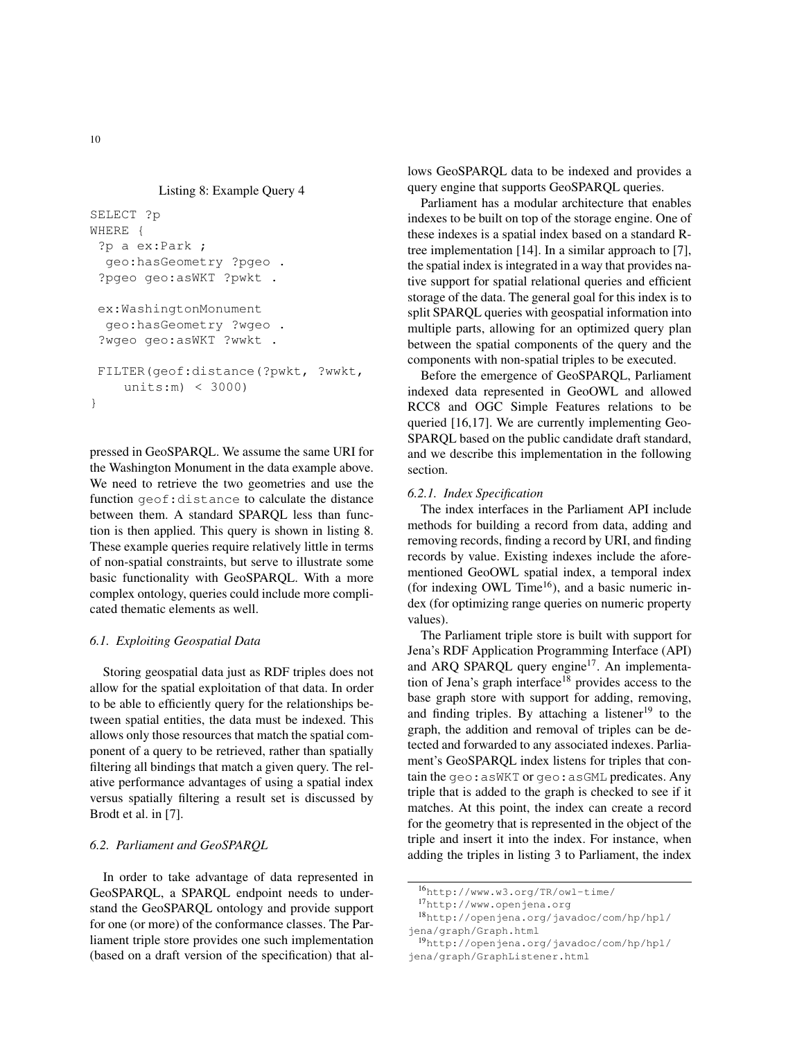```
Listing 8: Example Query 4
```

```
SELECT ?p
WHERE {
 ?p a ex:Park ;
  geo:hasGeometry ?pgeo .
 ?pgeo geo:asWKT ?pwkt .
 ex:WashingtonMonument
  geo:hasGeometry ?wgeo .
 ?wgeo geo:asWKT ?wwkt .
 FILTER(geof:distance(?pwkt, ?wwkt,
    units:m) < 3000)
}
```
pressed in GeoSPARQL. We assume the same URI for the Washington Monument in the data example above. We need to retrieve the two geometries and use the function geof:distance to calculate the distance between them. A standard SPARQL less than function is then applied. This query is shown in listing 8. These example queries require relatively little in terms of non-spatial constraints, but serve to illustrate some basic functionality with GeoSPARQL. With a more complex ontology, queries could include more complicated thematic elements as well.

## *6.1. Exploiting Geospatial Data*

Storing geospatial data just as RDF triples does not allow for the spatial exploitation of that data. In order to be able to efficiently query for the relationships between spatial entities, the data must be indexed. This allows only those resources that match the spatial component of a query to be retrieved, rather than spatially filtering all bindings that match a given query. The relative performance advantages of using a spatial index versus spatially filtering a result set is discussed by Brodt et al. in [7].

## *6.2. Parliament and GeoSPARQL*

In order to take advantage of data represented in GeoSPARQL, a SPARQL endpoint needs to understand the GeoSPARQL ontology and provide support for one (or more) of the conformance classes. The Parliament triple store provides one such implementation (based on a draft version of the specification) that allows GeoSPARQL data to be indexed and provides a query engine that supports GeoSPARQL queries.

Parliament has a modular architecture that enables indexes to be built on top of the storage engine. One of these indexes is a spatial index based on a standard Rtree implementation [14]. In a similar approach to [7], the spatial index is integrated in a way that provides native support for spatial relational queries and efficient storage of the data. The general goal for this index is to split SPARQL queries with geospatial information into multiple parts, allowing for an optimized query plan between the spatial components of the query and the components with non-spatial triples to be executed.

Before the emergence of GeoSPARQL, Parliament indexed data represented in GeoOWL and allowed RCC8 and OGC Simple Features relations to be queried [16,17]. We are currently implementing Geo-SPARQL based on the public candidate draft standard, and we describe this implementation in the following section.

#### *6.2.1. Index Specification*

The index interfaces in the Parliament API include methods for building a record from data, adding and removing records, finding a record by URI, and finding records by value. Existing indexes include the aforementioned GeoOWL spatial index, a temporal index (for indexing OWL Time<sup>16</sup>), and a basic numeric index (for optimizing range queries on numeric property values).

The Parliament triple store is built with support for Jena's RDF Application Programming Interface (API) and ARQ SPARQL query engine<sup>17</sup>. An implementation of Jena's graph interface<sup>18</sup> provides access to the base graph store with support for adding, removing, and finding triples. By attaching a listener $19$  to the graph, the addition and removal of triples can be detected and forwarded to any associated indexes. Parliament's GeoSPARQL index listens for triples that contain the geo:asWKT or geo:asGML predicates. Any triple that is added to the graph is checked to see if it matches. At this point, the index can create a record for the geometry that is represented in the object of the triple and insert it into the index. For instance, when adding the triples in listing 3 to Parliament, the index

<sup>16</sup>http://www.w3.org/TR/owl-time/

<sup>17</sup>http://www.openjena.org

<sup>18</sup>http://openjena.org/javadoc/com/hp/hpl/ jena/graph/Graph.html

<sup>19</sup>http://openjena.org/javadoc/com/hp/hpl/ jena/graph/GraphListener.html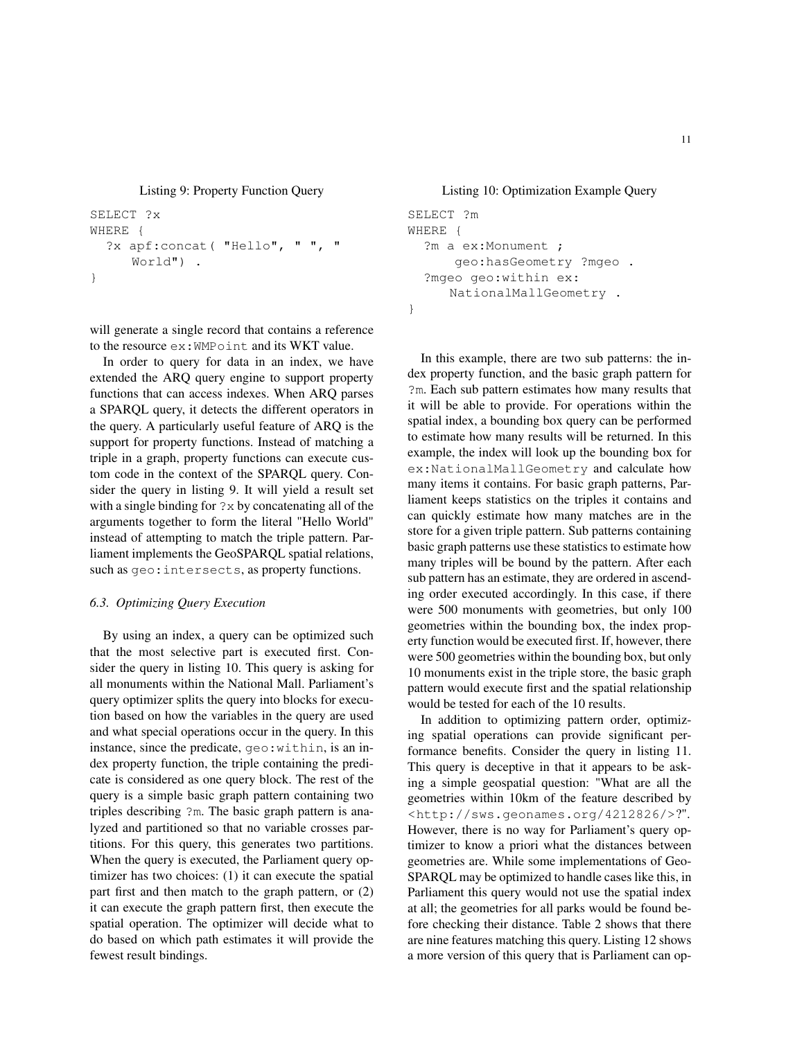Listing 9: Property Function Query

```
SELECT ?x
WHERE {
  ?x apf:concat( "Hello", " ", "
     World") .
}
```
will generate a single record that contains a reference to the resource ex:WMPoint and its WKT value.

In order to query for data in an index, we have extended the ARQ query engine to support property functions that can access indexes. When ARQ parses a SPARQL query, it detects the different operators in the query. A particularly useful feature of ARQ is the support for property functions. Instead of matching a triple in a graph, property functions can execute custom code in the context of the SPARQL query. Consider the query in listing 9. It will yield a result set with a single binding for  $?x$  by concatenating all of the arguments together to form the literal "Hello World" instead of attempting to match the triple pattern. Parliament implements the GeoSPARQL spatial relations, such as geo:intersects, as property functions.

## *6.3. Optimizing Query Execution*

By using an index, a query can be optimized such that the most selective part is executed first. Consider the query in listing 10. This query is asking for all monuments within the National Mall. Parliament's query optimizer splits the query into blocks for execution based on how the variables in the query are used and what special operations occur in the query. In this instance, since the predicate, geo:within, is an index property function, the triple containing the predicate is considered as one query block. The rest of the query is a simple basic graph pattern containing two triples describing ?m. The basic graph pattern is analyzed and partitioned so that no variable crosses partitions. For this query, this generates two partitions. When the query is executed, the Parliament query optimizer has two choices: (1) it can execute the spatial part first and then match to the graph pattern, or (2) it can execute the graph pattern first, then execute the spatial operation. The optimizer will decide what to do based on which path estimates it will provide the fewest result bindings.

## Listing 10: Optimization Example Query

```
SELECT ?m
WHERE {
  ?m a ex:Monument ;
      geo:hasGeometry ?mgeo .
  ?mgeo geo:within ex:
     NationalMallGeometry .
}
```
In this example, there are two sub patterns: the index property function, and the basic graph pattern for ?m. Each sub pattern estimates how many results that it will be able to provide. For operations within the spatial index, a bounding box query can be performed to estimate how many results will be returned. In this example, the index will look up the bounding box for ex:NationalMallGeometry and calculate how many items it contains. For basic graph patterns, Parliament keeps statistics on the triples it contains and can quickly estimate how many matches are in the store for a given triple pattern. Sub patterns containing basic graph patterns use these statistics to estimate how many triples will be bound by the pattern. After each sub pattern has an estimate, they are ordered in ascending order executed accordingly. In this case, if there were 500 monuments with geometries, but only 100 geometries within the bounding box, the index property function would be executed first. If, however, there were 500 geometries within the bounding box, but only 10 monuments exist in the triple store, the basic graph pattern would execute first and the spatial relationship would be tested for each of the 10 results.

In addition to optimizing pattern order, optimizing spatial operations can provide significant performance benefits. Consider the query in listing 11. This query is deceptive in that it appears to be asking a simple geospatial question: "What are all the geometries within 10km of the feature described by <http://sws.geonames.org/4212826/>?". However, there is no way for Parliament's query optimizer to know a priori what the distances between geometries are. While some implementations of Geo-SPARQL may be optimized to handle cases like this, in Parliament this query would not use the spatial index at all; the geometries for all parks would be found before checking their distance. Table 2 shows that there are nine features matching this query. Listing 12 shows a more version of this query that is Parliament can op-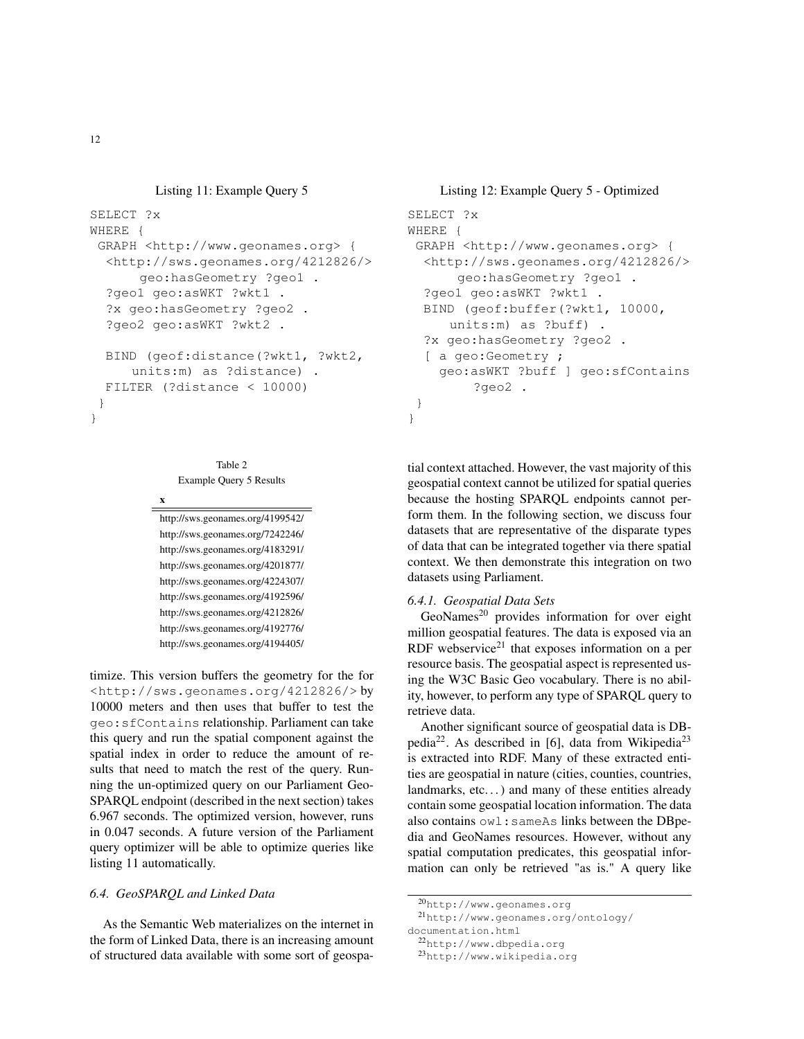## Listing 11: Example Query 5

```
SELECT ?x
WHERE {
 GRAPH <http://www.geonames.org> {
  <http://sws.geonames.org/4212826/>
      geo:hasGeometry ?geo1 .
  ?geo1 geo:asWKT ?wkt1 .
  ?x geo:hasGeometry ?geo2 .
  ?geo2 geo:asWKT ?wkt2 .
  BIND (geof:distance(?wkt1, ?wkt2,
     units:m) as ?distance) .
  FILTER (?distance < 10000)
 }
```

```
Table 2
```
Example Query 5 Results

x

http://sws.geonames.org/4199542/ http://sws.geonames.org/7242246/ http://sws.geonames.org/4183291/ http://sws.geonames.org/4201877/ http://sws.geonames.org/4224307/ http://sws.geonames.org/4192596/ http://sws.geonames.org/4212826/ http://sws.geonames.org/4192776/ http://sws.geonames.org/4194405/

timize. This version buffers the geometry for the for <http://sws.geonames.org/4212826/> by 10000 meters and then uses that buffer to test the geo:sfContains relationship. Parliament can take this query and run the spatial component against the spatial index in order to reduce the amount of results that need to match the rest of the query. Running the un-optimized query on our Parliament Geo-SPARQL endpoint (described in the next section) takes 6.967 seconds. The optimized version, however, runs in 0.047 seconds. A future version of the Parliament query optimizer will be able to optimize queries like listing 11 automatically.

## *6.4. GeoSPARQL and Linked Data*

As the Semantic Web materializes on the internet in the form of Linked Data, there is an increasing amount of structured data available with some sort of geospa-

## Listing 12: Example Query 5 - Optimized

```
SELECT ?x
WHERE {
 GRAPH <http://www.geonames.org> {
  <http://sws.geonames.org/4212826/>
      geo:hasGeometry ?geo1 .
  ?geo1 geo:asWKT ?wkt1 .
  BIND (geof:buffer(?wkt1, 10000,
     units:m) as ?buff) .
  ?x geo:hasGeometry ?geo2 .
  [ a geo:Geometry ;
    geo:asWKT ?buff ] geo:sfContains
        ?geo2 .
 }
```
tial context attached. However, the vast majority of this geospatial context cannot be utilized for spatial queries because the hosting SPARQL endpoints cannot perform them. In the following section, we discuss four datasets that are representative of the disparate types of data that can be integrated together via there spatial context. We then demonstrate this integration on two datasets using Parliament.

#### *6.4.1. Geospatial Data Sets*

}

 $GeoNames<sup>20</sup>$  provides information for over eight million geospatial features. The data is exposed via an RDF webservice<sup>21</sup> that exposes information on a per resource basis. The geospatial aspect is represented using the W3C Basic Geo vocabulary. There is no ability, however, to perform any type of SPARQL query to retrieve data.

Another significant source of geospatial data is DBpedia<sup>22</sup>. As described in [6], data from Wikipedia<sup>23</sup> is extracted into RDF. Many of these extracted entities are geospatial in nature (cities, counties, countries, landmarks, etc...) and many of these entities already contain some geospatial location information. The data also contains owl:sameAs links between the DBpedia and GeoNames resources. However, without any spatial computation predicates, this geospatial information can only be retrieved "as is." A query like

documentation.html <sup>22</sup>http://www.dbpedia.org

<sup>23</sup>http://www.wikipedia.org

}

 $20$ http://www.geonames.org

<sup>21</sup>http://www.geonames.org/ontology/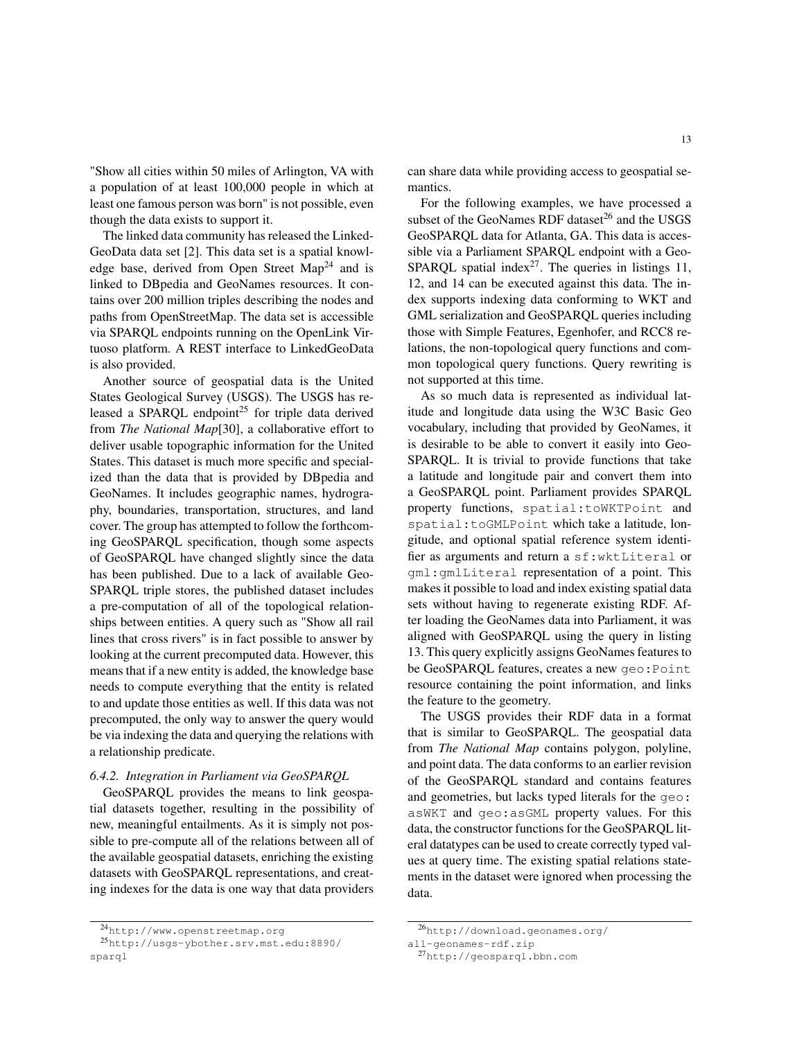"Show all cities within 50 miles of Arlington, VA with a population of at least 100,000 people in which at least one famous person was born" is not possible, even though the data exists to support it.

The linked data community has released the Linked-GeoData data set [2]. This data set is a spatial knowledge base, derived from Open Street  $Map<sup>24</sup>$  and is linked to DBpedia and GeoNames resources. It contains over 200 million triples describing the nodes and paths from OpenStreetMap. The data set is accessible via SPARQL endpoints running on the OpenLink Virtuoso platform. A REST interface to LinkedGeoData is also provided.

Another source of geospatial data is the United States Geological Survey (USGS). The USGS has released a SPARQL endpoint<sup>25</sup> for triple data derived from *The National Map*[30], a collaborative effort to deliver usable topographic information for the United States. This dataset is much more specific and specialized than the data that is provided by DBpedia and GeoNames. It includes geographic names, hydrography, boundaries, transportation, structures, and land cover. The group has attempted to follow the forthcoming GeoSPARQL specification, though some aspects of GeoSPARQL have changed slightly since the data has been published. Due to a lack of available Geo-SPARQL triple stores, the published dataset includes a pre-computation of all of the topological relationships between entities. A query such as "Show all rail lines that cross rivers" is in fact possible to answer by looking at the current precomputed data. However, this means that if a new entity is added, the knowledge base needs to compute everything that the entity is related to and update those entities as well. If this data was not precomputed, the only way to answer the query would be via indexing the data and querying the relations with a relationship predicate.

## *6.4.2. Integration in Parliament via GeoSPARQL*

GeoSPARQL provides the means to link geospatial datasets together, resulting in the possibility of new, meaningful entailments. As it is simply not possible to pre-compute all of the relations between all of the available geospatial datasets, enriching the existing datasets with GeoSPARQL representations, and creating indexes for the data is one way that data providers can share data while providing access to geospatial semantics.

For the following examples, we have processed a subset of the GeoNames RDF dataset $^{26}$  and the USGS GeoSPARQL data for Atlanta, GA. This data is accessible via a Parliament SPARQL endpoint with a Geo-SPARQL spatial index<sup>27</sup>. The queries in listings 11, 12, and 14 can be executed against this data. The index supports indexing data conforming to WKT and GML serialization and GeoSPARQL queries including those with Simple Features, Egenhofer, and RCC8 relations, the non-topological query functions and common topological query functions. Query rewriting is not supported at this time.

As so much data is represented as individual latitude and longitude data using the W3C Basic Geo vocabulary, including that provided by GeoNames, it is desirable to be able to convert it easily into Geo-SPARQL. It is trivial to provide functions that take a latitude and longitude pair and convert them into a GeoSPARQL point. Parliament provides SPARQL property functions, spatial:toWKTPoint and spatial:toGMLPoint which take a latitude, longitude, and optional spatial reference system identifier as arguments and return a sf:wktLiteral or gml:gmlLiteral representation of a point. This makes it possible to load and index existing spatial data sets without having to regenerate existing RDF. After loading the GeoNames data into Parliament, it was aligned with GeoSPARQL using the query in listing 13. This query explicitly assigns GeoNames features to be GeoSPARQL features, creates a new geo:Point resource containing the point information, and links the feature to the geometry.

The USGS provides their RDF data in a format that is similar to GeoSPARQL. The geospatial data from *The National Map* contains polygon, polyline, and point data. The data conforms to an earlier revision of the GeoSPARQL standard and contains features and geometries, but lacks typed literals for the geo: asWKT and geo:asGML property values. For this data, the constructor functions for the GeoSPARQL literal datatypes can be used to create correctly typed values at query time. The existing spatial relations statements in the dataset were ignored when processing the data.

<sup>24</sup>http://www.openstreetmap.org

<sup>25</sup>http://usgs-ybother.srv.mst.edu:8890/ sparql

<sup>26</sup>http://download.geonames.org/

all-geonames-rdf.zip

<sup>27</sup>http://geosparql.bbn.com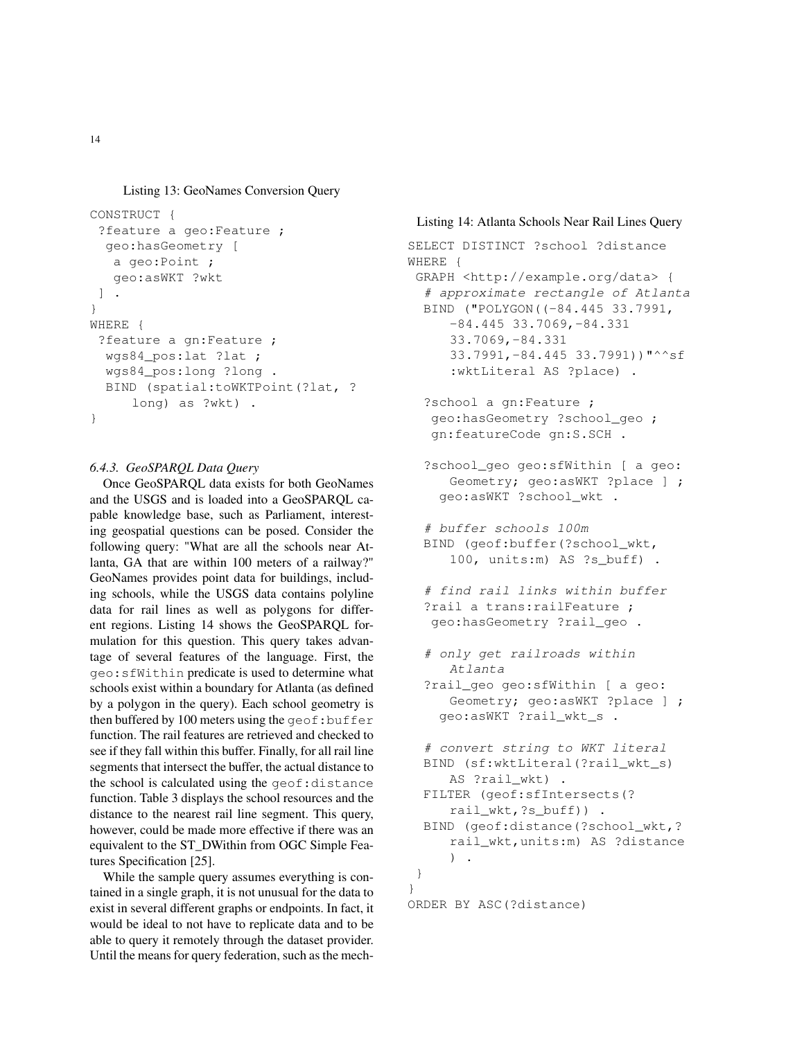Listing 13: GeoNames Conversion Query

```
CONSTRUCT {
 ?feature a geo:Feature ;
  geo:hasGeometry [
   a geo:Point ;
   geo:asWKT ?wkt
 ] .
}
WHERE {
 ?feature a gn:Feature ;
 wgs84_pos:lat ?lat ;
  wgs84_pos:long ?long .
  BIND (spatial:toWKTPoint(?lat, ?
     long) as ?wkt) .
}
```
## *6.4.3. GeoSPARQL Data Query*

Once GeoSPARQL data exists for both GeoNames and the USGS and is loaded into a GeoSPARQL capable knowledge base, such as Parliament, interesting geospatial questions can be posed. Consider the following query: "What are all the schools near Atlanta, GA that are within 100 meters of a railway?" GeoNames provides point data for buildings, including schools, while the USGS data contains polyline data for rail lines as well as polygons for different regions. Listing 14 shows the GeoSPARQL formulation for this question. This query takes advantage of several features of the language. First, the geo:sfWithin predicate is used to determine what schools exist within a boundary for Atlanta (as defined by a polygon in the query). Each school geometry is then buffered by 100 meters using the  $q$ eof:buffer function. The rail features are retrieved and checked to see if they fall within this buffer. Finally, for all rail line segments that intersect the buffer, the actual distance to the school is calculated using the geof:distance function. Table 3 displays the school resources and the distance to the nearest rail line segment. This query, however, could be made more effective if there was an equivalent to the ST\_DWithin from OGC Simple Features Specification [25].

While the sample query assumes everything is contained in a single graph, it is not unusual for the data to exist in several different graphs or endpoints. In fact, it would be ideal to not have to replicate data and to be able to query it remotely through the dataset provider. Until the means for query federation, such as the mech-

}

## Listing 14: Atlanta Schools Near Rail Lines Query

```
SELECT DISTINCT ?school ?distance
WHERE {
 GRAPH <http://example.org/data> {
  # approximate rectangle of Atlanta
  BIND ("POLYGON((-84.445 33.7991,
     -84.445 33.7069,-84.331
     33.7069,-84.331
     33.7991,-84.445 33.7991))"^^sf
     :wktLiteral AS ?place) .
  ?school a gn:Feature ;
   geo:hasGeometry ?school_geo ;
   gn:featureCode gn:S.SCH .
  ?school_geo geo:sfWithin [ a geo:
     Geometry; qeo:asWKT ?place ] ;
    geo:asWKT ?school_wkt .
  # buffer schools 100m
  BIND (geof:buffer(?school_wkt,
     100, units:m) AS ?s_buff) .
  # find rail links within buffer
  ?rail a trans:railFeature ;
   geo:hasGeometry ?rail_geo .
  # only get railroads within
     Atlanta
  ?rail_geo geo:sfWithin [ a geo:
     Geometry; geo:asWKT ?place ] ;
    geo:asWKT ?rail_wkt_s .
  # convert string to WKT literal
  BIND (sf:wktLiteral(?rail_wkt_s)
     AS ?rail_wkt) .
  FILTER (geof:sfIntersects(?
     rail_wkt,?s_buff)) .
  BIND (geof:distance(?school_wkt,?
     rail_wkt,units:m) AS ?distance
     ) .
 }
ORDER BY ASC(?distance)
```
14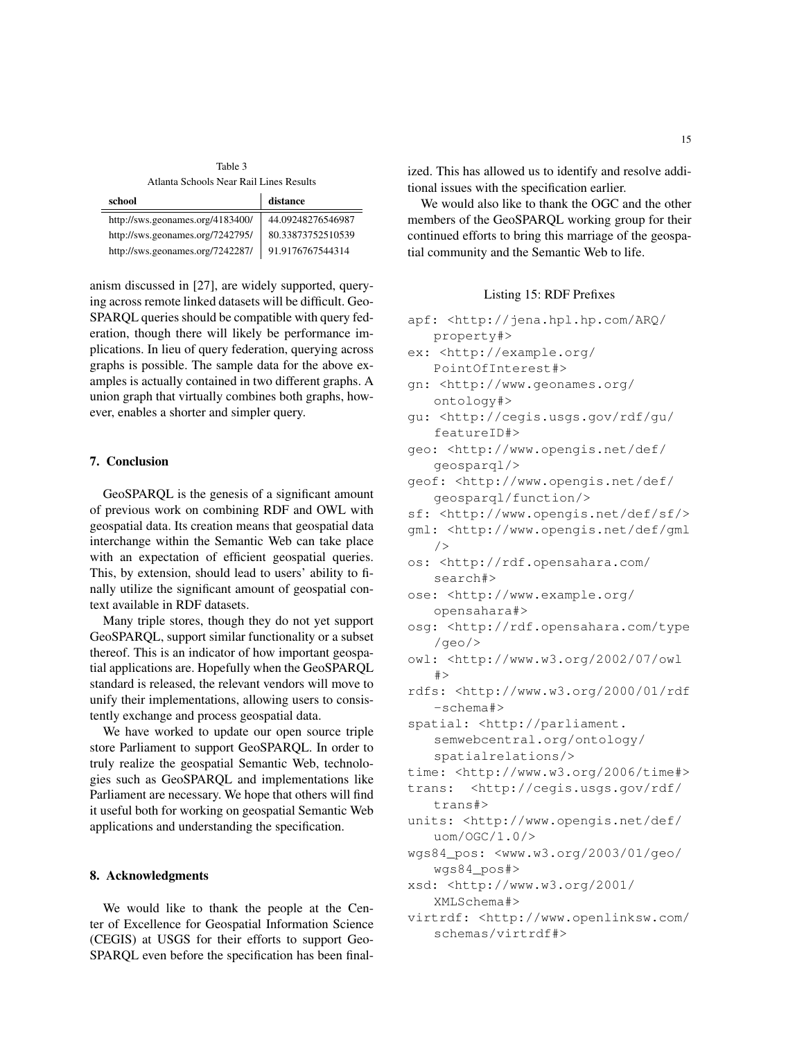Table 3 Atlanta Schools Near Rail Lines Results

| school                           | distance          |
|----------------------------------|-------------------|
| http://sws.geonames.org/4183400/ | 44.09248276546987 |
| http://sws.geonames.org/7242795/ | 80.33873752510539 |
| http://sws.geonames.org/7242287/ | 91.9176767544314  |

anism discussed in [27], are widely supported, querying across remote linked datasets will be difficult. Geo-SPARQL queries should be compatible with query federation, though there will likely be performance implications. In lieu of query federation, querying across graphs is possible. The sample data for the above examples is actually contained in two different graphs. A union graph that virtually combines both graphs, however, enables a shorter and simpler query.

## 7. Conclusion

GeoSPARQL is the genesis of a significant amount of previous work on combining RDF and OWL with geospatial data. Its creation means that geospatial data interchange within the Semantic Web can take place with an expectation of efficient geospatial queries. This, by extension, should lead to users' ability to finally utilize the significant amount of geospatial context available in RDF datasets.

Many triple stores, though they do not yet support GeoSPARQL, support similar functionality or a subset thereof. This is an indicator of how important geospatial applications are. Hopefully when the GeoSPARQL standard is released, the relevant vendors will move to unify their implementations, allowing users to consistently exchange and process geospatial data.

We have worked to update our open source triple store Parliament to support GeoSPARQL. In order to truly realize the geospatial Semantic Web, technologies such as GeoSPARQL and implementations like Parliament are necessary. We hope that others will find it useful both for working on geospatial Semantic Web applications and understanding the specification.

## 8. Acknowledgments

We would like to thank the people at the Center of Excellence for Geospatial Information Science (CEGIS) at USGS for their efforts to support Geo-SPARQL even before the specification has been finalized. This has allowed us to identify and resolve additional issues with the specification earlier.

We would also like to thank the OGC and the other members of the GeoSPARQL working group for their continued efforts to bring this marriage of the geospatial community and the Semantic Web to life.

## Listing 15: RDF Prefixes

```
apf: <http://jena.hpl.hp.com/ARQ/
   property#>
```
- ex: <http://example.org/ PointOfInterest#>
- gn: <http://www.geonames.org/ ontology#>
- gu: <http://cegis.usgs.gov/rdf/gu/ featureID#>
- geo: <http://www.opengis.net/def/ geosparql/>
- geof: <http://www.opengis.net/def/ geosparql/function/>
- sf: <http://www.opengis.net/def/sf/>

```
gml: <http://www.opengis.net/def/gml
   />
```
- os: <http://rdf.opensahara.com/ search#>
- ose: <http://www.example.org/ opensahara#>
- osg: <http://rdf.opensahara.com/type /geo/>
- owl: <http://www.w3.org/2002/07/owl  $#$
- rdfs: <http://www.w3.org/2000/01/rdf -schema#>
- spatial: <http://parliament. semwebcentral.org/ontology/ spatialrelations/>
- time: <http://www.w3.org/2006/time#>

```
trans: <http://cegis.usgs.gov/rdf/
   trans#>
```
- units: <http://www.opengis.net/def/ uom/OGC/1.0/>
- wgs84\_pos: <www.w3.org/2003/01/geo/ wgs84\_pos#>
- xsd: <http://www.w3.org/2001/ XMLSchema#>
- virtrdf: <http://www.openlinksw.com/ schemas/virtrdf#>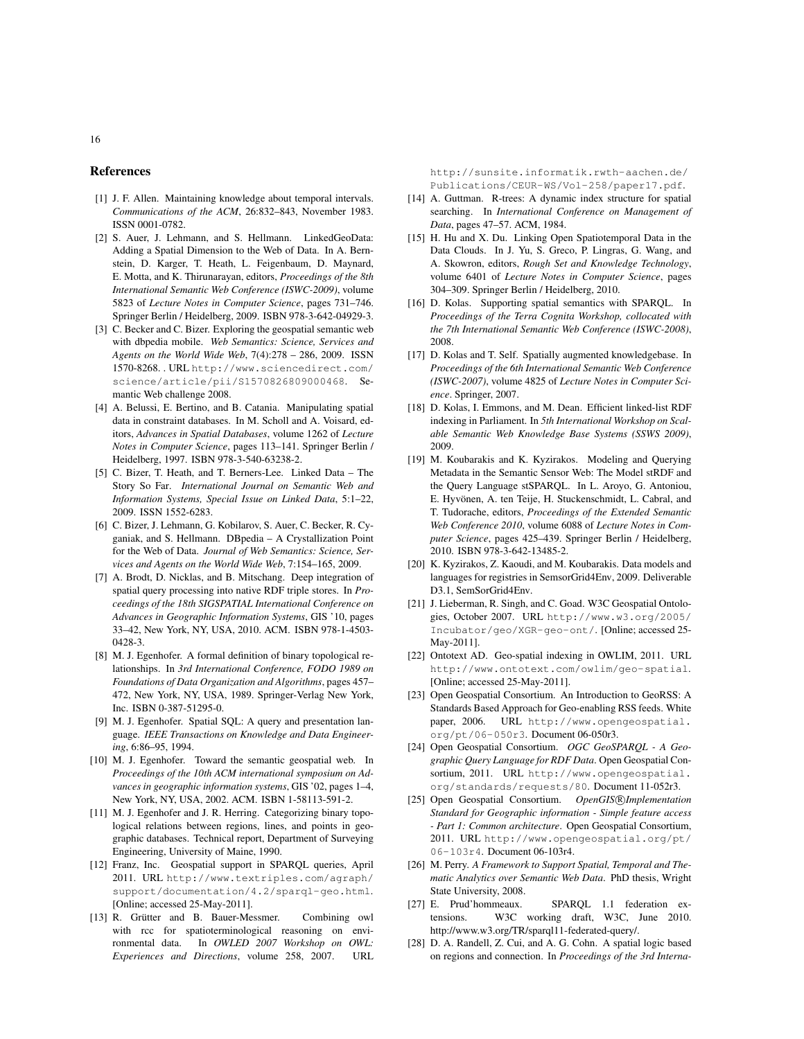#### References

- [1] J. F. Allen. Maintaining knowledge about temporal intervals. *Communications of the ACM*, 26:832–843, November 1983. ISSN 0001-0782.
- [2] S. Auer, J. Lehmann, and S. Hellmann. LinkedGeoData: Adding a Spatial Dimension to the Web of Data. In A. Bernstein, D. Karger, T. Heath, L. Feigenbaum, D. Maynard, E. Motta, and K. Thirunarayan, editors, *Proceedings of the 8th International Semantic Web Conference (ISWC-2009)*, volume 5823 of *Lecture Notes in Computer Science*, pages 731–746. Springer Berlin / Heidelberg, 2009. ISBN 978-3-642-04929-3.
- [3] C. Becker and C. Bizer. Exploring the geospatial semantic web with dbpedia mobile. *Web Semantics: Science, Services and Agents on the World Wide Web*, 7(4):278 – 286, 2009. ISSN 1570-8268. . URL http://www.sciencedirect.com/ science/article/pii/S1570826809000468. Semantic Web challenge 2008.
- [4] A. Belussi, E. Bertino, and B. Catania. Manipulating spatial data in constraint databases. In M. Scholl and A. Voisard, editors, *Advances in Spatial Databases*, volume 1262 of *Lecture Notes in Computer Science*, pages 113–141. Springer Berlin / Heidelberg, 1997. ISBN 978-3-540-63238-2.
- [5] C. Bizer, T. Heath, and T. Berners-Lee. Linked Data The Story So Far. *International Journal on Semantic Web and Information Systems, Special Issue on Linked Data*, 5:1–22, 2009. ISSN 1552-6283.
- [6] C. Bizer, J. Lehmann, G. Kobilarov, S. Auer, C. Becker, R. Cyganiak, and S. Hellmann. DBpedia – A Crystallization Point for the Web of Data. *Journal of Web Semantics: Science, Services and Agents on the World Wide Web*, 7:154–165, 2009.
- [7] A. Brodt, D. Nicklas, and B. Mitschang. Deep integration of spatial query processing into native RDF triple stores. In *Proceedings of the 18th SIGSPATIAL International Conference on Advances in Geographic Information Systems*, GIS '10, pages 33–42, New York, NY, USA, 2010. ACM. ISBN 978-1-4503- 0428-3.
- [8] M. J. Egenhofer. A formal definition of binary topological relationships. In *3rd International Conference, FODO 1989 on Foundations of Data Organization and Algorithms*, pages 457– 472, New York, NY, USA, 1989. Springer-Verlag New York, Inc. ISBN 0-387-51295-0.
- [9] M. J. Egenhofer. Spatial SQL: A query and presentation language. *IEEE Transactions on Knowledge and Data Engineering*, 6:86–95, 1994.
- [10] M. J. Egenhofer. Toward the semantic geospatial web. In *Proceedings of the 10th ACM international symposium on Advances in geographic information systems*, GIS '02, pages 1–4, New York, NY, USA, 2002. ACM. ISBN 1-58113-591-2.
- [11] M. J. Egenhofer and J. R. Herring. Categorizing binary topological relations between regions, lines, and points in geographic databases. Technical report, Department of Surveying Engineering, University of Maine, 1990.
- [12] Franz, Inc. Geospatial support in SPARQL queries, April 2011. URL http://www.textriples.com/agraph/ support/documentation/4.2/sparql-geo.html. [Online; accessed 25-May-2011].
- [13] R. Grütter and B. Bauer-Messmer. Combining owl with rcc for spatioterminological reasoning on environmental data. In *OWLED 2007 Workshop on OWL: Experiences and Directions*, volume 258, 2007. URL

http://sunsite.informatik.rwth-aachen.de/ Publications/CEUR-WS/Vol-258/paper17.pdf.

- [14] A. Guttman. R-trees: A dynamic index structure for spatial searching. In *International Conference on Management of Data*, pages 47–57. ACM, 1984.
- [15] H. Hu and X. Du. Linking Open Spatiotemporal Data in the Data Clouds. In J. Yu, S. Greco, P. Lingras, G. Wang, and A. Skowron, editors, *Rough Set and Knowledge Technology*, volume 6401 of *Lecture Notes in Computer Science*, pages 304–309. Springer Berlin / Heidelberg, 2010.
- [16] D. Kolas. Supporting spatial semantics with SPARQL. In *Proceedings of the Terra Cognita Workshop, collocated with the 7th International Semantic Web Conference (ISWC-2008)*, 2008.
- [17] D. Kolas and T. Self. Spatially augmented knowledgebase. In *Proceedings of the 6th International Semantic Web Conference (ISWC-2007)*, volume 4825 of *Lecture Notes in Computer Science*. Springer, 2007.
- [18] D. Kolas, I. Emmons, and M. Dean. Efficient linked-list RDF indexing in Parliament. In *5th International Workshop on Scalable Semantic Web Knowledge Base Systems (SSWS 2009)*, 2009.
- [19] M. Koubarakis and K. Kyzirakos. Modeling and Querying Metadata in the Semantic Sensor Web: The Model stRDF and the Query Language stSPARQL. In L. Aroyo, G. Antoniou, E. Hyvönen, A. ten Teije, H. Stuckenschmidt, L. Cabral, and T. Tudorache, editors, *Proceedings of the Extended Semantic Web Conference 2010*, volume 6088 of *Lecture Notes in Computer Science*, pages 425–439. Springer Berlin / Heidelberg, 2010. ISBN 978-3-642-13485-2.
- [20] K. Kyzirakos, Z. Kaoudi, and M. Koubarakis. Data models and languages for registries in SemsorGrid4Env, 2009. Deliverable D3.1, SemSorGrid4Env.
- [21] J. Lieberman, R. Singh, and C. Goad. W3C Geospatial Ontologies, October 2007. URL http://www.w3.org/2005/ Incubator/geo/XGR-geo-ont/. [Online; accessed 25- May-2011].
- [22] Ontotext AD. Geo-spatial indexing in OWLIM, 2011. URL http://www.ontotext.com/owlim/geo-spatial. [Online; accessed 25-May-2011].
- [23] Open Geospatial Consortium. An Introduction to GeoRSS: A Standards Based Approach for Geo-enabling RSS feeds. White paper, 2006. URL http://www.opengeospatial. org/pt/06-050r3. Document 06-050r3.
- [24] Open Geospatial Consortium. *OGC GeoSPARQL A Geographic Query Language for RDF Data*. Open Geospatial Consortium, 2011. URL http://www.opengeospatial. org/standards/requests/80. Document 11-052r3.
- [25] Open Geospatial Consortium. OpenGIS® Implementation *Standard for Geographic information - Simple feature access - Part 1: Common architecture*. Open Geospatial Consortium, 2011. URL http://www.opengeospatial.org/pt/ 06-103r4. Document 06-103r4.
- [26] M. Perry. *A Framework to Support Spatial, Temporal and Thematic Analytics over Semantic Web Data*. PhD thesis, Wright State University, 2008.
- [27] E. Prud'hommeaux. SPARQL 1.1 federation extensions. W3C working draft, W3C, June 2010. http://www.w3.org/TR/sparql11-federated-query/.
- [28] D. A. Randell, Z. Cui, and A. G. Cohn. A spatial logic based on regions and connection. In *Proceedings of the 3rd Interna-*